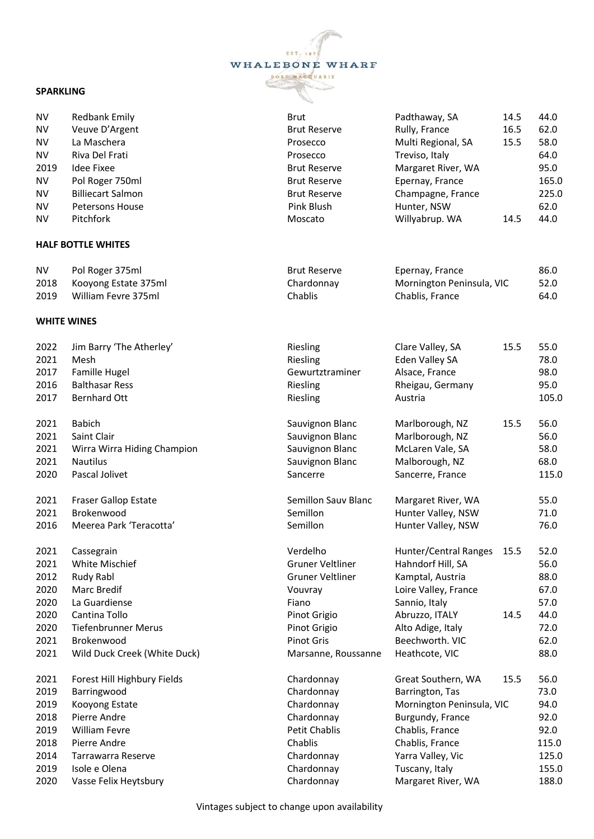## EST. 19 WHALEBONE WHARF PORT MACQUARIE

## **SPARKLING**

| <b>NV</b>  | <b>Redbank Emily</b>         | <b>Brut</b>         | Padthaway, SA             | 14.5 | 44.0  |
|------------|------------------------------|---------------------|---------------------------|------|-------|
| ${\sf NV}$ | Veuve D'Argent               | <b>Brut Reserve</b> | Rully, France             | 16.5 | 62.0  |
| <b>NV</b>  | La Maschera                  | Prosecco            | Multi Regional, SA        | 15.5 | 58.0  |
| <b>NV</b>  | Riva Del Frati               | Prosecco            | Treviso, Italy            |      | 64.0  |
| 2019       | <b>Idee Fixee</b>            | <b>Brut Reserve</b> | Margaret River, WA        |      | 95.0  |
| <b>NV</b>  | Pol Roger 750ml              | <b>Brut Reserve</b> | Epernay, France           |      | 165.0 |
| <b>NV</b>  | <b>Billiecart Salmon</b>     | <b>Brut Reserve</b> | Champagne, France         |      | 225.0 |
| <b>NV</b>  | Petersons House              | Pink Blush          | Hunter, NSW               |      | 62.0  |
| <b>NV</b>  | Pitchfork                    | Moscato             | Willyabrup. WA            | 14.5 | 44.0  |
|            | <b>HALF BOTTLE WHITES</b>    |                     |                           |      |       |
| <b>NV</b>  | Pol Roger 375ml              | <b>Brut Reserve</b> | Epernay, France           |      | 86.0  |
| 2018       | Kooyong Estate 375ml         | Chardonnay          | Mornington Peninsula, VIC |      | 52.0  |
| 2019       | William Fevre 375ml          | Chablis             | Chablis, France           |      | 64.0  |
|            | <b>WHITE WINES</b>           |                     |                           |      |       |
| 2022       | Jim Barry 'The Atherley'     | Riesling            | Clare Valley, SA          | 15.5 | 55.0  |
| 2021       | Mesh                         | Riesling            | Eden Valley SA            |      | 78.0  |
| 2017       | Famille Hugel                | Gewurtztraminer     | Alsace, France            |      | 98.0  |
| 2016       | <b>Balthasar Ress</b>        | Riesling            | Rheigau, Germany          |      | 95.0  |
| 2017       | <b>Bernhard Ott</b>          | Riesling            | Austria                   |      | 105.0 |
| 2021       | <b>Babich</b>                | Sauvignon Blanc     | Marlborough, NZ           | 15.5 | 56.0  |
| 2021       | Saint Clair                  | Sauvignon Blanc     | Marlborough, NZ           |      | 56.0  |
| 2021       | Wirra Wirra Hiding Champion  | Sauvignon Blanc     | McLaren Vale, SA          |      | 58.0  |
| 2021       | <b>Nautilus</b>              | Sauvignon Blanc     | Malborough, NZ            |      | 68.0  |
| 2020       | Pascal Jolivet               | Sancerre            | Sancerre, France          |      | 115.0 |
| 2021       | <b>Fraser Gallop Estate</b>  | Semillon Sauv Blanc | Margaret River, WA        |      | 55.0  |
| 2021       | Brokenwood                   | Semillon            | Hunter Valley, NSW        |      | 71.0  |
| 2016       | Meerea Park 'Teracotta'      | Semillon            | Hunter Valley, NSW        |      | 76.0  |
| 2021       | Cassegrain                   | Verdelho            | Hunter/Central Ranges     | 15.5 | 52.0  |
| 2021       | White Mischief               | Gruner Veltliner    | Hahndorf Hill, SA         |      | 56.0  |
| 2012       | Rudy Rabl                    | Gruner Veltliner    | Kamptal, Austria          |      | 88.0  |
| 2020       | Marc Bredif                  | Vouvray             | Loire Valley, France      |      | 67.0  |
| 2020       | La Guardiense                | Fiano               | Sannio, Italy             |      | 57.0  |
| 2020       | Cantina Tollo                | Pinot Grigio        | Abruzzo, ITALY            | 14.5 | 44.0  |
| 2020       | <b>Tiefenbrunner Merus</b>   | Pinot Grigio        | Alto Adige, Italy         |      | 72.0  |
| 2021       | Brokenwood                   | <b>Pinot Gris</b>   | Beechworth. VIC           |      | 62.0  |
| 2021       | Wild Duck Creek (White Duck) | Marsanne, Roussanne | Heathcote, VIC            |      | 88.0  |
| 2021       | Forest Hill Highbury Fields  | Chardonnay          | Great Southern, WA        | 15.5 | 56.0  |
| 2019       | Barringwood                  | Chardonnay          | Barrington, Tas           |      | 73.0  |
| 2019       | Kooyong Estate               | Chardonnay          | Mornington Peninsula, VIC |      | 94.0  |
| 2018       | Pierre Andre                 | Chardonnay          | Burgundy, France          |      | 92.0  |
| 2019       | <b>William Fevre</b>         | Petit Chablis       | Chablis, France           |      | 92.0  |
| 2018       | Pierre Andre                 | Chablis             | Chablis, France           |      | 115.0 |
| 2014       | Tarrawarra Reserve           | Chardonnay          | Yarra Valley, Vic         |      | 125.0 |
| 2019       | Isole e Olena                | Chardonnay          | Tuscany, Italy            |      | 155.0 |
| 2020       | Vasse Felix Heytsbury        | Chardonnay          | Margaret River, WA        |      | 188.0 |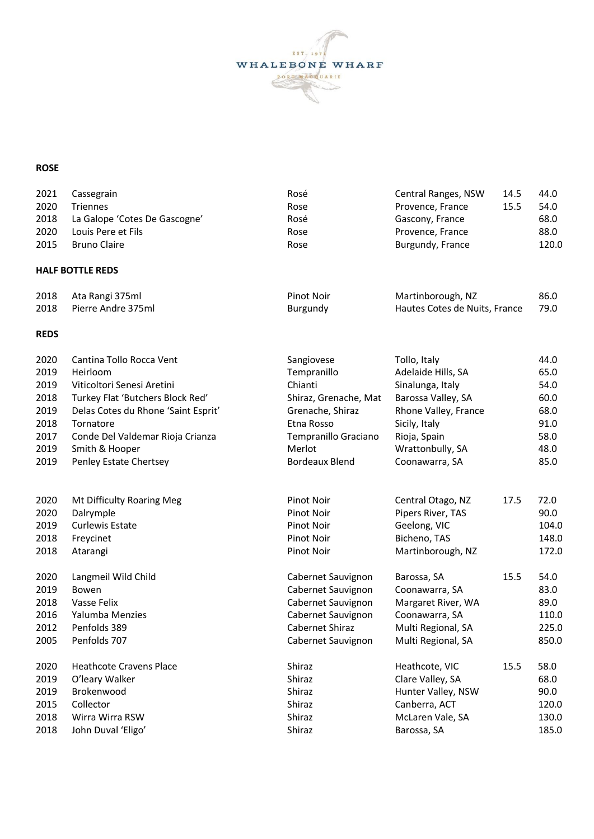

## **ROSE**

| 2021        | Cassegrain                          | Rosé                  | Central Ranges, NSW           | 14.5 | 44.0  |
|-------------|-------------------------------------|-----------------------|-------------------------------|------|-------|
| 2020        | <b>Triennes</b>                     | Rose                  | Provence, France              | 15.5 | 54.0  |
| 2018        | La Galope 'Cotes De Gascogne'       | Rosé                  | Gascony, France               |      | 68.0  |
| 2020        | Louis Pere et Fils                  | Rose                  | Provence, France              |      | 88.0  |
| 2015        | <b>Bruno Claire</b>                 | Rose                  | Burgundy, France              |      | 120.0 |
|             | <b>HALF BOTTLE REDS</b>             |                       |                               |      |       |
| 2018        | Ata Rangi 375ml                     | <b>Pinot Noir</b>     | Martinborough, NZ             |      | 86.0  |
| 2018        | Pierre Andre 375ml                  | Burgundy              | Hautes Cotes de Nuits, France |      | 79.0  |
| <b>REDS</b> |                                     |                       |                               |      |       |
| 2020        | Cantina Tollo Rocca Vent            | Sangiovese            | Tollo, Italy                  |      | 44.0  |
| 2019        | Heirloom                            | Tempranillo           | Adelaide Hills, SA            |      | 65.0  |
| 2019        | Viticoltori Senesi Aretini          | Chianti               | Sinalunga, Italy              |      | 54.0  |
| 2018        | Turkey Flat 'Butchers Block Red'    | Shiraz, Grenache, Mat | Barossa Valley, SA            |      | 60.0  |
| 2019        | Delas Cotes du Rhone 'Saint Esprit' | Grenache, Shiraz      | Rhone Valley, France          |      | 68.0  |
| 2018        | Tornatore                           | Etna Rosso            | Sicily, Italy                 |      | 91.0  |
| 2017        | Conde Del Valdemar Rioja Crianza    | Tempranillo Graciano  | Rioja, Spain                  |      | 58.0  |
| 2019        | Smith & Hooper                      | Merlot                | Wrattonbully, SA              |      | 48.0  |
| 2019        | Penley Estate Chertsey              | <b>Bordeaux Blend</b> | Coonawarra, SA                |      | 85.0  |
| 2020        | Mt Difficulty Roaring Meg           | Pinot Noir            | Central Otago, NZ             | 17.5 | 72.0  |
| 2020        | Dalrymple                           | Pinot Noir            | Pipers River, TAS             |      | 90.0  |
| 2019        | <b>Curlewis Estate</b>              | Pinot Noir            | Geelong, VIC                  |      | 104.0 |
| 2018        | Freycinet                           | Pinot Noir            | Bicheno, TAS                  |      | 148.0 |
| 2018        | Atarangi                            | Pinot Noir            | Martinborough, NZ             |      | 172.0 |
| 2020        | Langmeil Wild Child                 | Cabernet Sauvignon    | Barossa, SA                   | 15.5 | 54.0  |
| 2019        | Bowen                               | Cabernet Sauvignon    | Coonawarra, SA                |      | 83.0  |
| 2018        | Vasse Felix                         | Cabernet Sauvignon    | Margaret River, WA            |      | 89.0  |
| 2016        | Yalumba Menzies                     | Cabernet Sauvignon    | Coonawarra, SA                |      | 110.0 |
| 2012        | Penfolds 389                        | Cabernet Shiraz       | Multi Regional, SA            |      | 225.0 |
| 2005        | Penfolds 707                        | Cabernet Sauvignon    | Multi Regional, SA            |      | 850.0 |
| 2020        | <b>Heathcote Cravens Place</b>      | Shiraz                | Heathcote, VIC                | 15.5 | 58.0  |
| 2019        | O'leary Walker                      | Shiraz                | Clare Valley, SA              |      | 68.0  |
| 2019        | Brokenwood                          | Shiraz                | Hunter Valley, NSW            |      | 90.0  |
| 2015        | Collector                           | Shiraz                | Canberra, ACT                 |      | 120.0 |
| 2018        | Wirra Wirra RSW                     | Shiraz                | McLaren Vale, SA              |      | 130.0 |
| 2018        | John Duval 'Eligo'                  | Shiraz                | Barossa, SA                   |      | 185.0 |